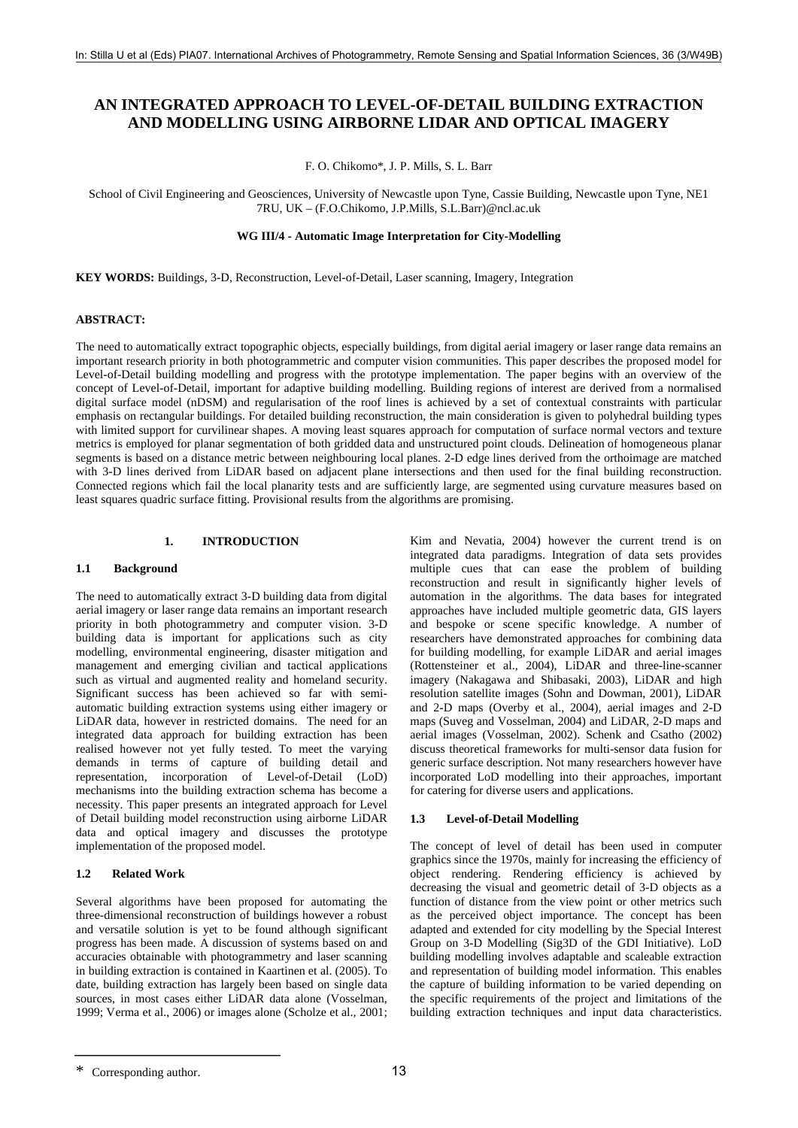# **AN INTEGRATED APPROACH TO LEVEL-OF-DETAIL BUILDING EXTRACTION AND MODELLING USING AIRBORNE LIDAR AND OPTICAL IMAGERY**

F. O. Chikomo\*, J. P. Mills, S. L. Barr

School of Civil Engineering and Geosciences, University of Newcastle upon Tyne, Cassie Building, Newcastle upon Tyne, NE1 7RU, UK – (F.O.Chikomo, J.P.Mills, S.L.Barr)@ncl.ac.uk

### **WG III/4 - Automatic Image Interpretation for City-Modelling**

**KEY WORDS:** Buildings, 3-D, Reconstruction, Level-of-Detail, Laser scanning, Imagery, Integration

### **ABSTRACT:**

The need to automatically extract topographic objects, especially buildings, from digital aerial imagery or laser range data remains an important research priority in both photogrammetric and computer vision communities. This paper describes the proposed model for Level-of-Detail building modelling and progress with the prototype implementation. The paper begins with an overview of the concept of Level-of-Detail, important for adaptive building modelling. Building regions of interest are derived from a normalised digital surface model (nDSM) and regularisation of the roof lines is achieved by a set of contextual constraints with particular emphasis on rectangular buildings. For detailed building reconstruction, the main consideration is given to polyhedral building types with limited support for curvilinear shapes. A moving least squares approach for computation of surface normal vectors and texture metrics is employed for planar segmentation of both gridded data and unstructured point clouds. Delineation of homogeneous planar segments is based on a distance metric between neighbouring local planes. 2-D edge lines derived from the orthoimage are matched with 3-D lines derived from LiDAR based on adjacent plane intersections and then used for the final building reconstruction. Connected regions which fail the local planarity tests and are sufficiently large, are segmented using curvature measures based on least squares quadric surface fitting. Provisional results from the algorithms are promising.

# **1. INTRODUCTION**

# **1.1 Background**

The need to automatically extract 3-D building data from digital aerial imagery or laser range data remains an important research priority in both photogrammetry and computer vision. 3-D building data is important for applications such as city modelling, environmental engineering, disaster mitigation and management and emerging civilian and tactical applications such as virtual and augmented reality and homeland security. Significant success has been achieved so far with semiautomatic building extraction systems using either imagery or LiDAR data, however in restricted domains. The need for an integrated data approach for building extraction has been realised however not yet fully tested. To meet the varying demands in terms of capture of building detail and representation, incorporation of Level-of-Detail (LoD) mechanisms into the building extraction schema has become a necessity. This paper presents an integrated approach for Level of Detail building model reconstruction using airborne LiDAR data and optical imagery and discusses the prototype implementation of the proposed model.

# **1.2 Related Work**

Several algorithms have been proposed for automating the three-dimensional reconstruction of buildings however a robust and versatile solution is yet to be found although significant progress has been made. A discussion of systems based on and accuracies obtainable with photogrammetry and laser scanning in building extraction is contained in Kaartinen et al. (2005). To date, building extraction has largely been based on single data sources, in most cases either LiDAR data alone (Vosselman, 1999; Verma et al., 2006) or images alone (Scholze et al., 2001; Kim and Nevatia, 2004) however the current trend is on integrated data paradigms. Integration of data sets provides multiple cues that can ease the problem of building reconstruction and result in significantly higher levels of automation in the algorithms. The data bases for integrated approaches have included multiple geometric data, GIS layers and bespoke or scene specific knowledge. A number of researchers have demonstrated approaches for combining data for building modelling, for example LiDAR and aerial images (Rottensteiner et al., 2004), LiDAR and three-line-scanner imagery (Nakagawa and Shibasaki, 2003), LiDAR and high resolution satellite images (Sohn and Dowman, 2001), LiDAR and 2-D maps (Overby et al., 2004), aerial images and 2-D maps (Suveg and Vosselman, 2004) and LiDAR, 2-D maps and aerial images (Vosselman, 2002). Schenk and Csatho (2002) discuss theoretical frameworks for multi-sensor data fusion for generic surface description. Not many researchers however have incorporated LoD modelling into their approaches, important for catering for diverse users and applications.

# **1.3 Level-of-Detail Modelling**

The concept of level of detail has been used in computer graphics since the 1970s, mainly for increasing the efficiency of object rendering. Rendering efficiency is achieved by decreasing the visual and geometric detail of 3-D objects as a function of distance from the view point or other metrics such as the perceived object importance. The concept has been adapted and extended for city modelling by the Special Interest Group on 3-D Modelling (Sig3D of the GDI Initiative). LoD building modelling involves adaptable and scaleable extraction and representation of building model information. This enables the capture of building information to be varied depending on the specific requirements of the project and limitations of the building extraction techniques and input data characteristics.

<sup>\*</sup> Corresponding author.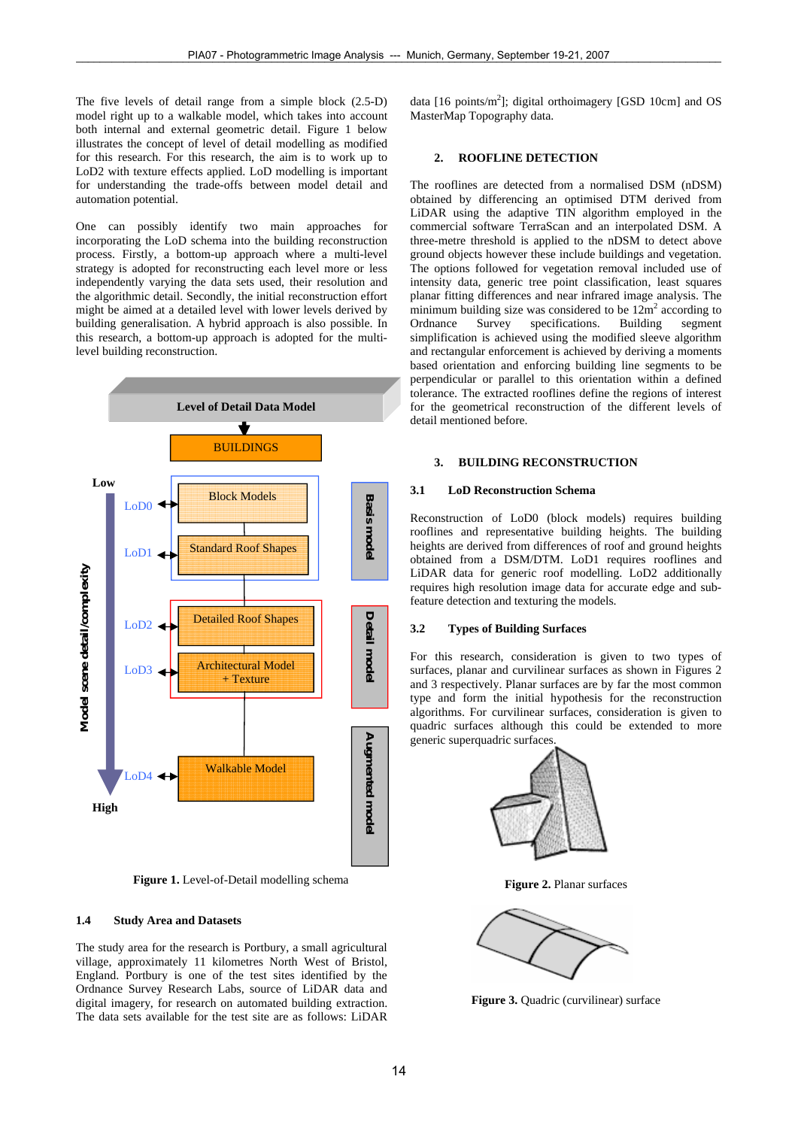The five levels of detail range from a simple block (2.5-D) model right up to a walkable model, which takes into account both internal and external geometric detail. Figure 1 below illustrates the concept of level of detail modelling as modified for this research. For this research, the aim is to work up to LoD2 with texture effects applied. LoD modelling is important for understanding the trade-offs between model detail and automation potential.

One can possibly identify two main approaches for incorporating the LoD schema into the building reconstruction process. Firstly, a bottom-up approach where a multi-level strategy is adopted for reconstructing each level more or less independently varying the data sets used, their resolution and the algorithmic detail. Secondly, the initial reconstruction effort might be aimed at a detailed level with lower levels derived by building generalisation. A hybrid approach is also possible. In this research, a bottom-up approach is adopted for the multilevel building reconstruction.



 **Figure 1.** Level-of-Detail modelling schema

# **1.4 Study Area and Datasets**

The study area for the research is Portbury, a small agricultural village, approximately 11 kilometres North West of Bristol, England. Portbury is one of the test sites identified by the Ordnance Survey Research Labs, source of LiDAR data and digital imagery, for research on automated building extraction. The data sets available for the test site are as follows: LiDAR

data [16 points/ $m<sup>2</sup>$ ]; digital orthoimagery [GSD 10cm] and OS MasterMap Topography data.

#### **2. ROOFLINE DETECTION**

The rooflines are detected from a normalised DSM (nDSM) obtained by differencing an optimised DTM derived from LiDAR using the adaptive TIN algorithm employed in the commercial software TerraScan and an interpolated DSM. A three-metre threshold is applied to the nDSM to detect above ground objects however these include buildings and vegetation. The options followed for vegetation removal included use of intensity data, generic tree point classification, least squares planar fitting differences and near infrared image analysis. The minimum building size was considered to be  $12m^2$  according to Ordnance Survey specifications. Building segment simplification is achieved using the modified sleeve algorithm and rectangular enforcement is achieved by deriving a moments based orientation and enforcing building line segments to be perpendicular or parallel to this orientation within a defined tolerance. The extracted rooflines define the regions of interest for the geometrical reconstruction of the different levels of detail mentioned before.

#### **3. BUILDING RECONSTRUCTION**

# **3.1 LoD Reconstruction Schema**

Reconstruction of LoD0 (block models) requires building rooflines and representative building heights. The building heights are derived from differences of roof and ground heights obtained from a DSM/DTM. LoD1 requires rooflines and LiDAR data for generic roof modelling. LoD2 additionally requires high resolution image data for accurate edge and subfeature detection and texturing the models.

### **3.2 Types of Building Surfaces**

For this research, consideration is given to two types of surfaces, planar and curvilinear surfaces as shown in Figures 2 and 3 respectively. Planar surfaces are by far the most common type and form the initial hypothesis for the reconstruction algorithms. For curvilinear surfaces, consideration is given to quadric surfaces although this could be extended to more generic superquadric surfaces.



**Figure 2.** Planar surfaces



**Figure 3.** Ouadric (curvilinear) surface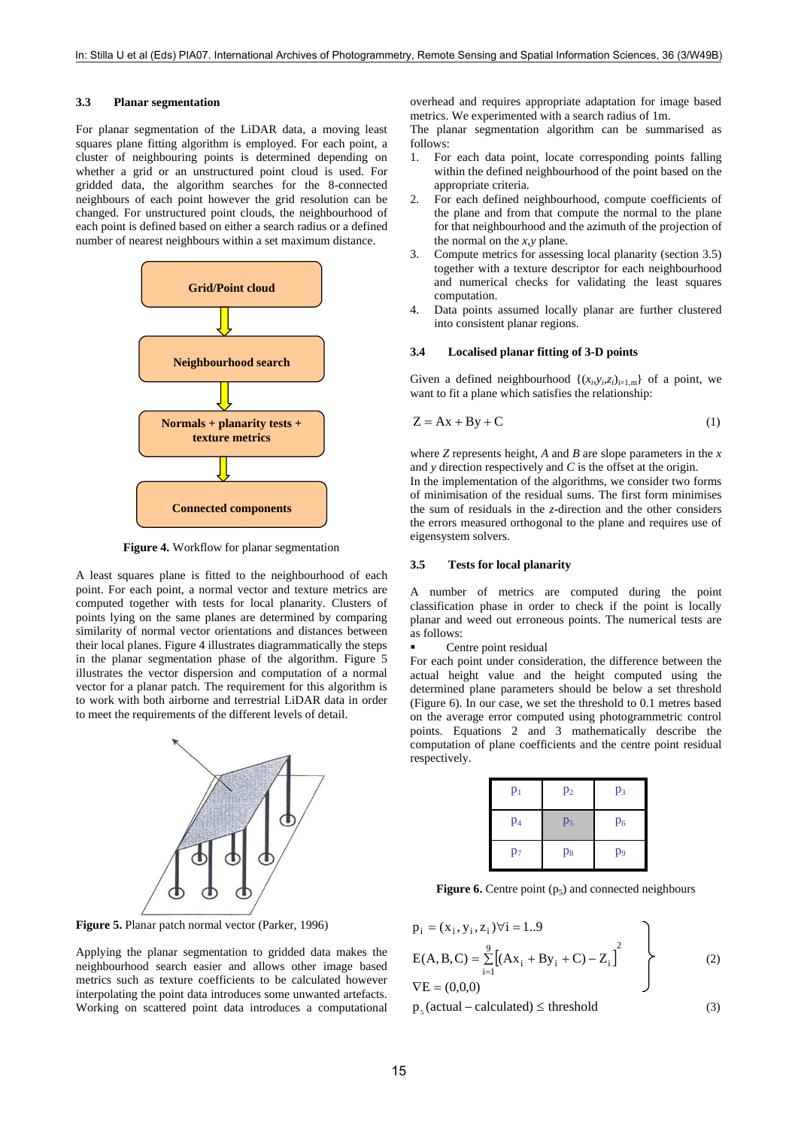#### **3.3 Planar segmentation**

For planar segmentation of the LiDAR data, a moving least squares plane fitting algorithm is employed. For each point, a cluster of neighbouring points is determined depending on whether a grid or an unstructured point cloud is used. For gridded data, the algorithm searches for the 8-connected neighbours of each point however the grid resolution can be changed. For unstructured point clouds, the neighbourhood of each point is defined based on either a search radius or a defined number of nearest neighbours within a set maximum distance.



**Figure 4.** Workflow for planar segmentation

A least squares plane is fitted to the neighbourhood of each point. For each point, a normal vector and texture metrics are computed together with tests for local planarity. Clusters of points lying on the same planes are determined by comparing similarity of normal vector orientations and distances between their local planes. Figure 4 illustrates diagrammatically the steps in the planar segmentation phase of the algorithm. Figure 5 illustrates the vector dispersion and computation of a normal vector for a planar patch. The requirement for this algorithm is to work with both airborne and terrestrial LiDAR data in order to meet the requirements of the different levels of detail.



**Figure 5.** Planar patch normal vector (Parker, 1996)

Applying the planar segmentation to gridded data makes the neighbourhood search easier and allows other image based metrics such as texture coefficients to be calculated however interpolating the point data introduces some unwanted artefacts. Working on scattered point data introduces a computational overhead and requires appropriate adaptation for image based metrics. We experimented with a search radius of 1m.

The planar segmentation algorithm can be summarised as follows:

- 1. For each data point, locate corresponding points falling within the defined neighbourhood of the point based on the appropriate criteria.
- 2. For each defined neighbourhood, compute coefficients of the plane and from that compute the normal to the plane for that neighbourhood and the azimuth of the projection of the normal on the *x*,*y* plane.
- 3. Compute metrics for assessing local planarity (section 3.5) together with a texture descriptor for each neighbourhood and numerical checks for validating the least squares computation.
- 4. Data points assumed locally planar are further clustered into consistent planar regions.

#### **3.4 Localised planar fitting of 3-D points**

Given a defined neighbourhood  $\{(x_i, y_i, z_i)_{i=1,m}\}$  of a point, we want to fit a plane which satisfies the relationship:

$$
Z = Ax + By + C \tag{1}
$$

where *Z* represents height, *A* and *B* are slope parameters in the *x*  and *y* direction respectively and *C* is the offset at the origin.

In the implementation of the algorithms, we consider two forms of minimisation of the residual sums. The first form minimises the sum of residuals in the *z-*direction and the other considers the errors measured orthogonal to the plane and requires use of eigensystem solvers.

#### **3.5 Tests for local planarity**

A number of metrics are computed during the point classification phase in order to check if the point is locally planar and weed out erroneous points. The numerical tests are as follows:

Centre point residual

For each point under consideration, the difference between the actual height value and the height computed using the determined plane parameters should be below a set threshold (Figure 6). In our case, we set the threshold to 0.1 metres based on the average error computed using photogrammetric control points. Equations 2 and 3 mathematically describe the computation of plane coefficients and the centre point residual respectively.

| $p_1$          | p <sub>2</sub> | p <sub>3</sub> |
|----------------|----------------|----------------|
| p <sub>4</sub> | p <sub>5</sub> | $p_6$          |
| $p_7$          | $p_8$          | p <sub>9</sub> |

**Figure 6.** Centre point  $(p_5)$  and connected neighbours

$$
p_{i} = (x_{i}, y_{i}, z_{i}) \forall i = 1..9
$$
  
\n
$$
E(A, B, C) = \sum_{i=1}^{9} [(Ax_{i} + By_{i} + C) - Z_{i}]^{2}
$$
  
\n
$$
\nabla E = (0,0,0)
$$
\n(2)

 $p_c$  (actual – calculated)  $\leq$  threshold (3)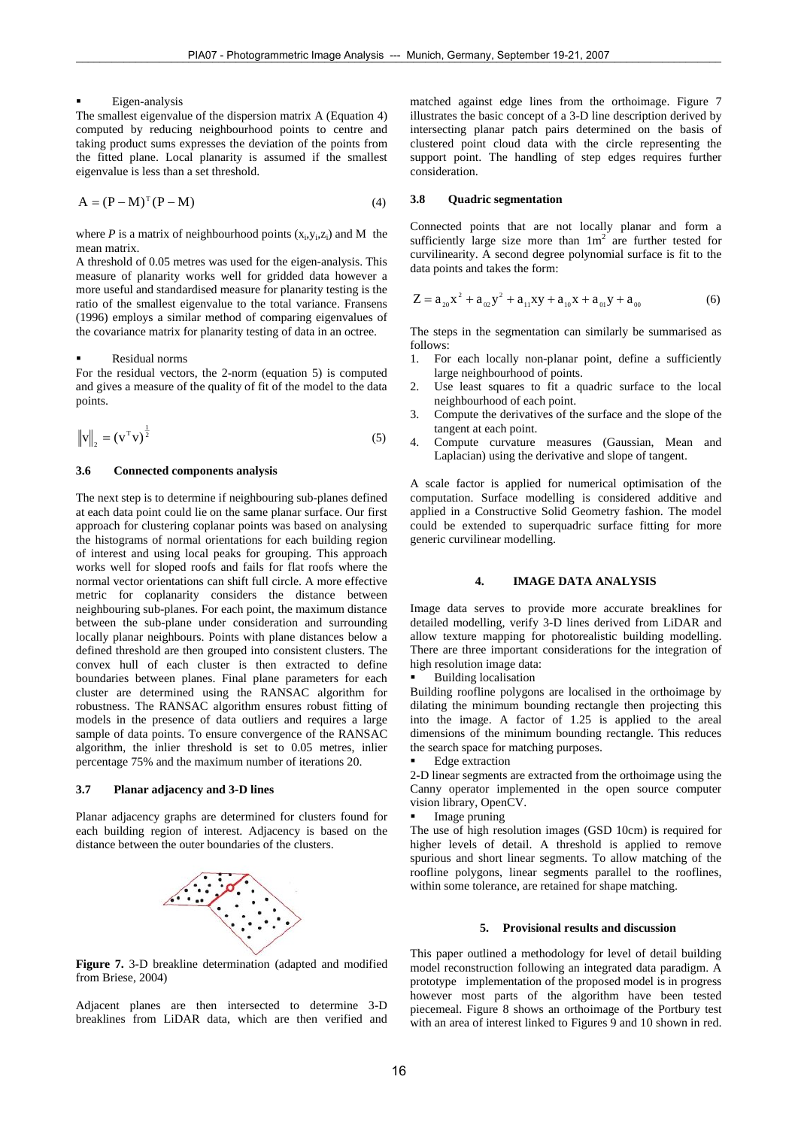#### Eigen-analysis

The smallest eigenvalue of the dispersion matrix A (Equation 4) computed by reducing neighbourhood points to centre and taking product sums expresses the deviation of the points from the fitted plane. Local planarity is assumed if the smallest eigenvalue is less than a set threshold.

$$
A = (P - M)^{T} (P - M)
$$
\n<sup>(4)</sup>

where *P* is a matrix of neighbourhood points  $(x_i, y_i, z_i)$  and M the mean matrix.

A threshold of 0.05 metres was used for the eigen-analysis. This measure of planarity works well for gridded data however a more useful and standardised measure for planarity testing is the ratio of the smallest eigenvalue to the total variance. Fransens (1996) employs a similar method of comparing eigenvalues of the covariance matrix for planarity testing of data in an octree.

#### Residual norms

For the residual vectors, the 2-norm (equation 5) is computed and gives a measure of the quality of fit of the model to the data points.

$$
\left\| \mathbf{v} \right\|_2 = \left( \mathbf{v}^{\mathrm{T}} \mathbf{v} \right)^{\frac{1}{2}} \tag{5}
$$

# **3.6 Connected components analysis**

The next step is to determine if neighbouring sub-planes defined at each data point could lie on the same planar surface. Our first approach for clustering coplanar points was based on analysing the histograms of normal orientations for each building region of interest and using local peaks for grouping. This approach works well for sloped roofs and fails for flat roofs where the normal vector orientations can shift full circle. A more effective metric for coplanarity considers the distance between neighbouring sub-planes. For each point, the maximum distance between the sub-plane under consideration and surrounding locally planar neighbours. Points with plane distances below a defined threshold are then grouped into consistent clusters. The convex hull of each cluster is then extracted to define boundaries between planes. Final plane parameters for each cluster are determined using the RANSAC algorithm for robustness. The RANSAC algorithm ensures robust fitting of models in the presence of data outliers and requires a large sample of data points. To ensure convergence of the RANSAC algorithm, the inlier threshold is set to 0.05 metres, inlier percentage 75% and the maximum number of iterations 20.

#### **3.7 Planar adjacency and 3-D lines**

Planar adjacency graphs are determined for clusters found for each building region of interest. Adjacency is based on the distance between the outer boundaries of the clusters.



**Figure 7.** 3-D breakline determination (adapted and modified from Briese, 2004)

Adjacent planes are then intersected to determine 3-D breaklines from LiDAR data, which are then verified and matched against edge lines from the orthoimage. Figure 7 illustrates the basic concept of a 3-D line description derived by intersecting planar patch pairs determined on the basis of clustered point cloud data with the circle representing the support point. The handling of step edges requires further consideration.

#### **3.8 Quadric segmentation**

Connected points that are not locally planar and form a sufficiently large size more than  $1m^2$  are further tested for curvilinearity. A second degree polynomial surface is fit to the data points and takes the form:

$$
Z = a_{20}x^2 + a_{02}y^2 + a_{11}xy + a_{10}x + a_{01}y + a_{00}
$$
 (6)

The steps in the segmentation can similarly be summarised as follows:

- 1. For each locally non-planar point, define a sufficiently large neighbourhood of points.
- 2. Use least squares to fit a quadric surface to the local neighbourhood of each point.
- 3. Compute the derivatives of the surface and the slope of the tangent at each point.
- 4. Compute curvature measures (Gaussian, Mean and Laplacian) using the derivative and slope of tangent.

A scale factor is applied for numerical optimisation of the computation. Surface modelling is considered additive and applied in a Constructive Solid Geometry fashion. The model could be extended to superquadric surface fitting for more generic curvilinear modelling.

#### **4. IMAGE DATA ANALYSIS**

Image data serves to provide more accurate breaklines for detailed modelling, verify 3-D lines derived from LiDAR and allow texture mapping for photorealistic building modelling. There are three important considerations for the integration of high resolution image data:

Building localisation

Building roofline polygons are localised in the orthoimage by dilating the minimum bounding rectangle then projecting this into the image. A factor of 1.25 is applied to the areal dimensions of the minimum bounding rectangle. This reduces the search space for matching purposes.

**Edge extraction** 

2-D linear segments are extracted from the orthoimage using the Canny operator implemented in the open source computer vision library, OpenCV.

Image pruning

The use of high resolution images (GSD 10cm) is required for higher levels of detail. A threshold is applied to remove spurious and short linear segments. To allow matching of the roofline polygons, linear segments parallel to the rooflines, within some tolerance, are retained for shape matching.

#### **5. Provisional results and discussion**

This paper outlined a methodology for level of detail building model reconstruction following an integrated data paradigm. A prototype implementation of the proposed model is in progress however most parts of the algorithm have been tested piecemeal. Figure 8 shows an orthoimage of the Portbury test with an area of interest linked to Figures 9 and 10 shown in red.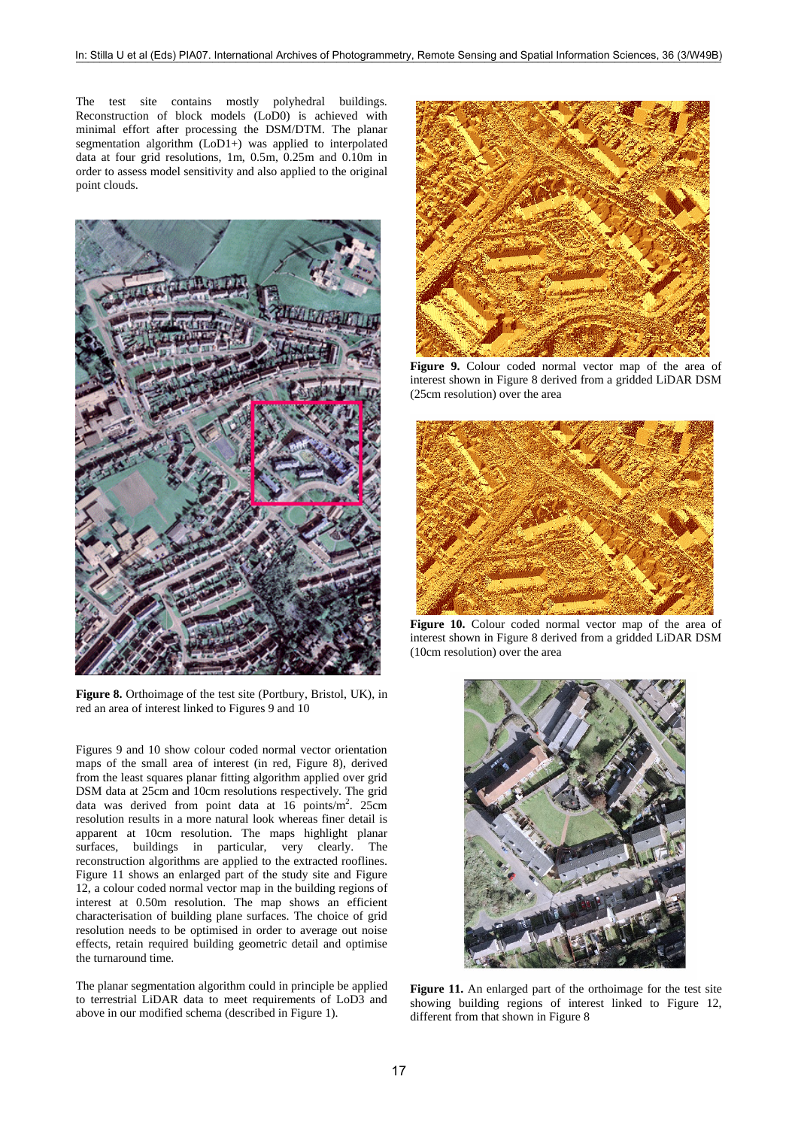The test site contains mostly polyhedral buildings. Reconstruction of block models (LoD0) is achieved with minimal effort after processing the DSM/DTM. The planar segmentation algorithm (LoD1+) was applied to interpolated data at four grid resolutions, 1m, 0.5m, 0.25m and 0.10m in order to assess model sensitivity and also applied to the original point clouds.



Figure 8. Orthoimage of the test site (Portbury, Bristol, UK), in red an area of interest linked to Figures 9 and 10

Figures 9 and 10 show colour coded normal vector orientation maps of the small area of interest (in red, Figure 8), derived from the least squares planar fitting algorithm applied over grid DSM data at 25cm and 10cm resolutions respectively. The grid data was derived from point data at  $16$  points/m<sup>2</sup>. 25cm resolution results in a more natural look whereas finer detail is apparent at 10cm resolution. The maps highlight planar surfaces, buildings in particular, very clearly. The reconstruction algorithms are applied to the extracted rooflines. Figure 11 shows an enlarged part of the study site and Figure 12, a colour coded normal vector map in the building regions of interest at 0.50m resolution. The map shows an efficient characterisation of building plane surfaces. The choice of grid resolution needs to be optimised in order to average out noise effects, retain required building geometric detail and optimise the turnaround time.

The planar segmentation algorithm could in principle be applied to terrestrial LiDAR data to meet requirements of LoD3 and above in our modified schema (described in Figure 1).



Figure 9. Colour coded normal vector map of the area of interest shown in Figure 8 derived from a gridded LiDAR DSM (25cm resolution) over the area



Figure 10. Colour coded normal vector map of the area of interest shown in Figure 8 derived from a gridded LiDAR DSM (10cm resolution) over the area



**Figure 11.** An enlarged part of the orthoimage for the test site showing building regions of interest linked to Figure 12, different from that shown in Figure 8